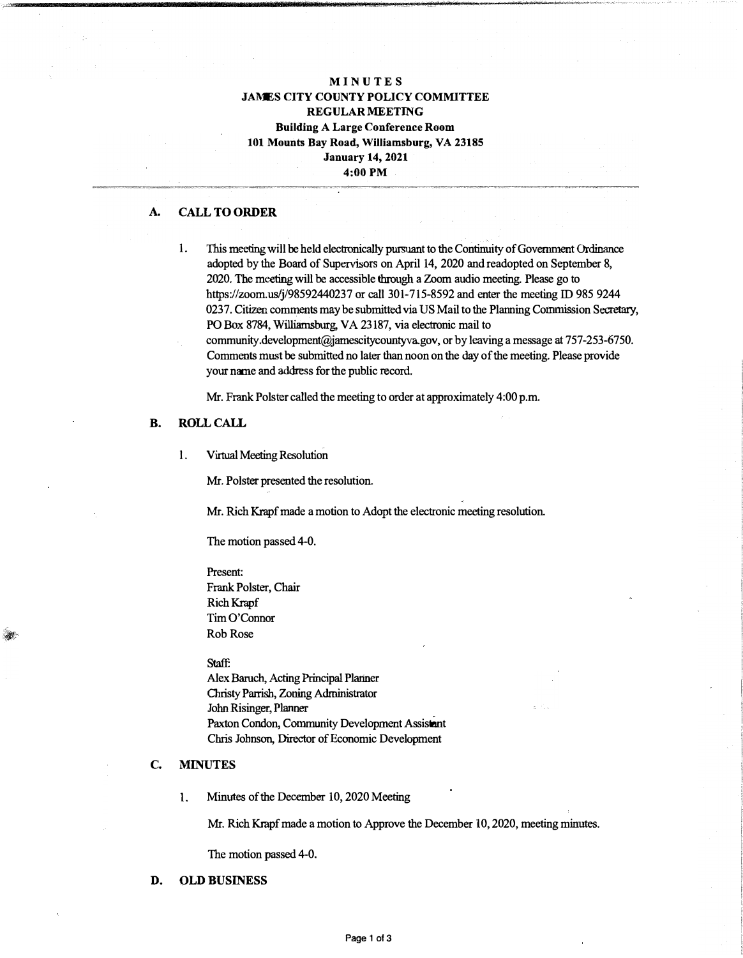## **M INU T ES JAMES CITY COUNTY POLICY COMMITTEE REGULAR MEETING Building A Large Conference Room 101 Mounts Bay Road, Williamsburg, VA 23185 January 14, 2021 4:00 PM**

## **A. CALL TO ORDER**

- 1. This meeting will be held electronically pursuant to the Continuity of Government Ordinance adopted by the Board of Supervisors on April 14, 2020 and readopted on September 8, 2020. The meeting will be accessible through a Zoom audio meeting. Please go to https://zoom.us/j/98592440237 or call 301-715-8592 and enter the meeting ID 985 9244 0237. Citizen comments may be submitted via US Mail to the Planning Commission Secretary, PO Box 8784, Williamsburg, VA 23187, via electronic mail to
	- community.development@jamescitycountyvagov, or by leaving a message at 757-253-6750. Comments must be submitted no later than noon on the day of the meeting. Please provide your name and address for the public record.

Mr. Frank Polster called the meeting to order at approximately 4:00 p.m.

## **B. ROLLCALL**

l. Virtual Meeting Resolution

Mr. Polster presented the resolution.

Mr. Rich Krapf made a motion to Adopt the electronic meeting resolution.

The motion passed 4-0.

Present: Frank Polster, Chair Rich Krapf Tim O'Connor Rob Rose

#### Staff:

Alex Baruch, Acting Principal Planner Christy Parrish, Zoning Administrator John Risinger, Planner Paxton Condon, Community Development Assistant Chris Johnson, Director of Economic Development

# **C. MINUTES**

 $\mathcal{M}$ 

1. Minutes of the December 10, 2020 Meeting

Mr. Rich Krapf made a motion to Approve the December 10, 2020, meeting minutes.

The motion passed 4-0.

#### **D. OLD BUSINESS**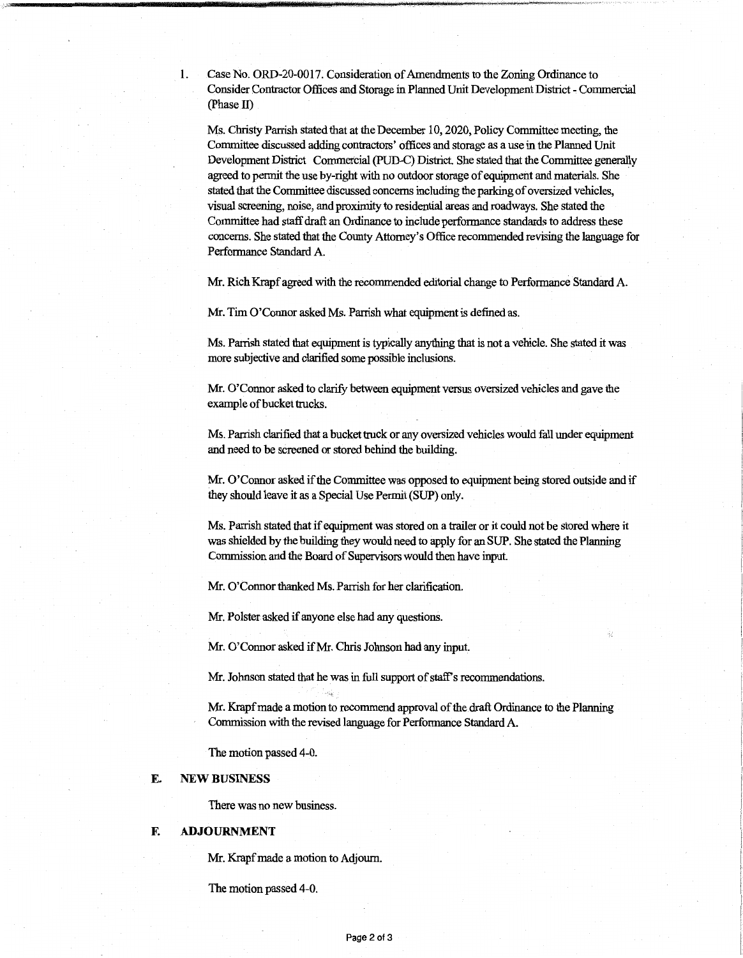1. Case No. ORD-20-0017. Consideration of Amendments to the Zoning Ordinance to Consider Contractor Offices and Storage in Planned Unit Development District - Commercial (Phase II)

Ms. Christy Parrish stated that at the December 10, 2020, Policy Committee meeting, the Committee discussed adding contractors' offices and storage as a use in the Planned Unit Development District Commercial (PUD-C) District. She stated that the Committee generally agreed to pennit the use by-right with no outdoor storage of equipment and materials. She stated that the Committee discussed concerns including the parking of oversized vehicles, visual screening, noise, and proximity to residential areas and roadways. She stated the Committee had staff draft an Ordinance to include performance standards to address these concerns. She stated that the County Attorney's Office recommended revising the language for Performance Standard A.

Mr. Rich Krapf agreed with the recommended editorial change to Performance Standard A.

Mr. Tim O'Connor asked Ms. Parrish what equipment is defined as.

Ms. Parrish stated that equipment is typically anything that is not a vehicle. She stated it was more subjective and clarified some possible inclusions.

Mr. O'Connor asked to clarify between equipment versus oversized vehicles and gave the example of bucket trucks.

Ms. Parrish clarified that a bucket truck or any oversized vehicles would fall under equipment and need to be screened or stored behind the building.

Mr. O'Connor asked if the Committee was opposed to equipment being stored outside and if they should leave it as a Special Use Pennit (SUP) only.

Ms. Parrish stated that if equipment was stored on a trailer or it could not be stored where it was shielded by the building they would need to apply for an SUP. She stated the Planning Commission and the Board of Supervisors would then have input

Mr. O'Connor thanked Ms. Parrish for her clarification.

Mr. Polster asked if anyone else had any questions.

Mr. O'Connor asked if Mr. Chris Johnson had any input.

Mr. Johnson stated that he was in full support of staff's recommendations.

Mr. Krapf made a motion to recommend approval of the draft Ordinance to the Planning Commission with the revised language for Performance Standard A.

The motion passed 4-0.

## **E. NEW BUSINESS**

There was no new business.

#### **F. ADJOURNMENT**

Mr. Krapf made a motion to Adjourn.

The motion passed 4-0.